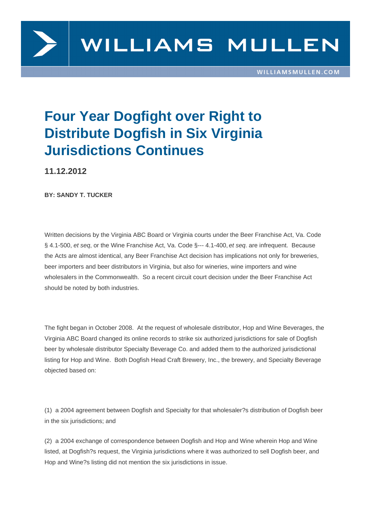

## **Four Year Dogfight over Right to Distribute Dogfish in Six Virginia Jurisdictions Continues**

**11.12.2012**

**BY: SANDY T. TUCKER**

Written decisions by the Virginia ABC Board or Virginia courts under the Beer Franchise Act, Va. Code § 4.1-500, et seq, or the Wine Franchise Act, Va. Code §--- 4.1-400, et seq. are infrequent. Because the Acts are almost identical, any Beer Franchise Act decision has implications not only for breweries, beer importers and beer distributors in Virginia, but also for wineries, wine importers and wine wholesalers in the Commonwealth. So a recent circuit court decision under the Beer Franchise Act should be noted by both industries.

The fight began in October 2008. At the request of wholesale distributor, Hop and Wine Beverages, the Virginia ABC Board changed its online records to strike six authorized jurisdictions for sale of Dogfish beer by wholesale distributor Specialty Beverage Co. and added them to the authorized jurisdictional listing for Hop and Wine. Both Dogfish Head Craft Brewery, Inc., the brewery, and Specialty Beverage objected based on:

(1) a 2004 agreement between Dogfish and Specialty for that wholesaler?s distribution of Dogfish beer in the six jurisdictions; and

(2) a 2004 exchange of correspondence between Dogfish and Hop and Wine wherein Hop and Wine listed, at Dogfish?s request, the Virginia jurisdictions where it was authorized to sell Dogfish beer, and Hop and Wine?s listing did not mention the six jurisdictions in issue.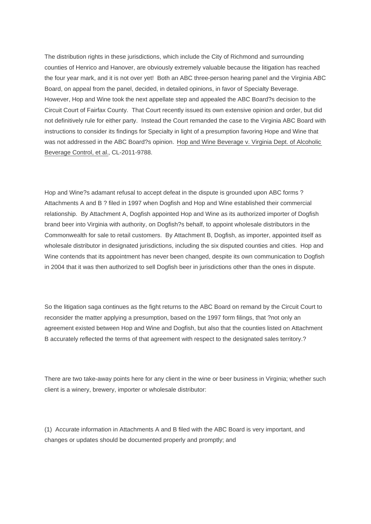The distribution rights in these jurisdictions, which include the City of Richmond and surrounding counties of Henrico and Hanover, are obviously extremely valuable because the litigation has reached the four year mark, and it is not over yet! Both an ABC three-person hearing panel and the Virginia ABC Board, on appeal from the panel, decided, in detailed opinions, in favor of Specialty Beverage. However, Hop and Wine took the next appellate step and appealed the ABC Board?s decision to the Circuit Court of Fairfax County. That Court recently issued its own extensive opinion and order, but did not definitively rule for either party. Instead the Court remanded the case to the Virginia ABC Board with instructions to consider its findings for Specialty in light of a presumption favoring Hope and Wine that was not addressed in the ABC Board?s opinion. Hop and Wine Beverage v. Virginia Dept. of Alcoholic Beverage Control, et al., CL-2011-9788.

Hop and Wine?s adamant refusal to accept defeat in the dispute is grounded upon ABC forms ? Attachments A and B ? filed in 1997 when Dogfish and Hop and Wine established their commercial relationship. By Attachment A, Dogfish appointed Hop and Wine as its authorized importer of Dogfish brand beer into Virginia with authority, on Dogfish?s behalf, to appoint wholesale distributors in the Commonwealth for sale to retail customers. By Attachment B, Dogfish, as importer, appointed itself as wholesale distributor in designated jurisdictions, including the six disputed counties and cities. Hop and Wine contends that its appointment has never been changed, despite its own communication to Dogfish in 2004 that it was then authorized to sell Dogfish beer in jurisdictions other than the ones in dispute.

So the litigation saga continues as the fight returns to the ABC Board on remand by the Circuit Court to reconsider the matter applying a presumption, based on the 1997 form filings, that ?not only an agreement existed between Hop and Wine and Dogfish, but also that the counties listed on Attachment B accurately reflected the terms of that agreement with respect to the designated sales territory.?

There are two take-away points here for any client in the wine or beer business in Virginia; whether such client is a winery, brewery, importer or wholesale distributor:

(1) Accurate information in Attachments A and B filed with the ABC Board is very important, and changes or updates should be documented properly and promptly; and